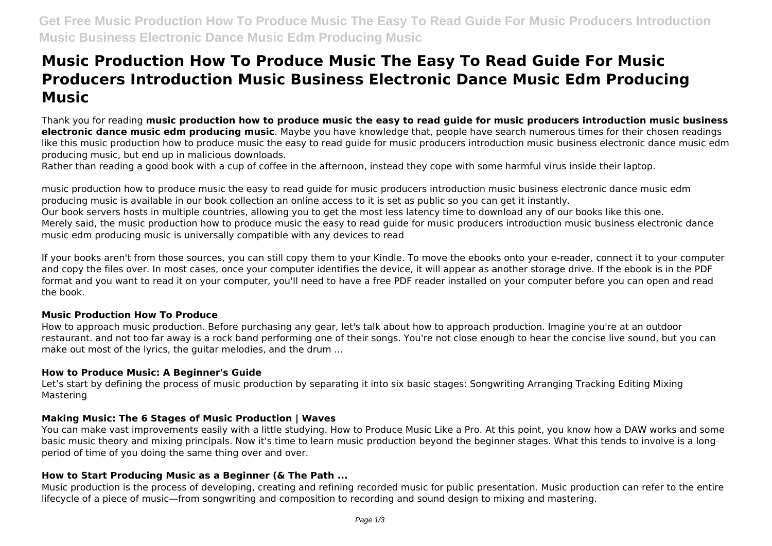# **Music Production How To Produce Music The Easy To Read Guide For Music Producers Introduction Music Business Electronic Dance Music Edm Producing Music**

Thank you for reading **music production how to produce music the easy to read guide for music producers introduction music business electronic dance music edm producing music**. Maybe you have knowledge that, people have search numerous times for their chosen readings like this music production how to produce music the easy to read guide for music producers introduction music business electronic dance music edm producing music, but end up in malicious downloads.

Rather than reading a good book with a cup of coffee in the afternoon, instead they cope with some harmful virus inside their laptop.

music production how to produce music the easy to read guide for music producers introduction music business electronic dance music edm producing music is available in our book collection an online access to it is set as public so you can get it instantly. Our book servers hosts in multiple countries, allowing you to get the most less latency time to download any of our books like this one. Merely said, the music production how to produce music the easy to read guide for music producers introduction music business electronic dance music edm producing music is universally compatible with any devices to read

If your books aren't from those sources, you can still copy them to your Kindle. To move the ebooks onto your e-reader, connect it to your computer and copy the files over. In most cases, once your computer identifies the device, it will appear as another storage drive. If the ebook is in the PDF format and you want to read it on your computer, you'll need to have a free PDF reader installed on your computer before you can open and read the book.

# **Music Production How To Produce**

How to approach music production. Before purchasing any gear, let's talk about how to approach production. Imagine you're at an outdoor restaurant. and not too far away is a rock band performing one of their songs. You're not close enough to hear the concise live sound, but you can make out most of the lyrics, the guitar melodies, and the drum ...

# **How to Produce Music: A Beginner's Guide**

Let's start by defining the process of music production by separating it into six basic stages: Songwriting Arranging Tracking Editing Mixing Mastering

# **Making Music: The 6 Stages of Music Production | Waves**

You can make vast improvements easily with a little studying. How to Produce Music Like a Pro. At this point, you know how a DAW works and some basic music theory and mixing principals. Now it's time to learn music production beyond the beginner stages. What this tends to involve is a long period of time of you doing the same thing over and over.

# **How to Start Producing Music as a Beginner (& The Path ...**

Music production is the process of developing, creating and refining recorded music for public presentation. Music production can refer to the entire lifecycle of a piece of music—from songwriting and composition to recording and sound design to mixing and mastering.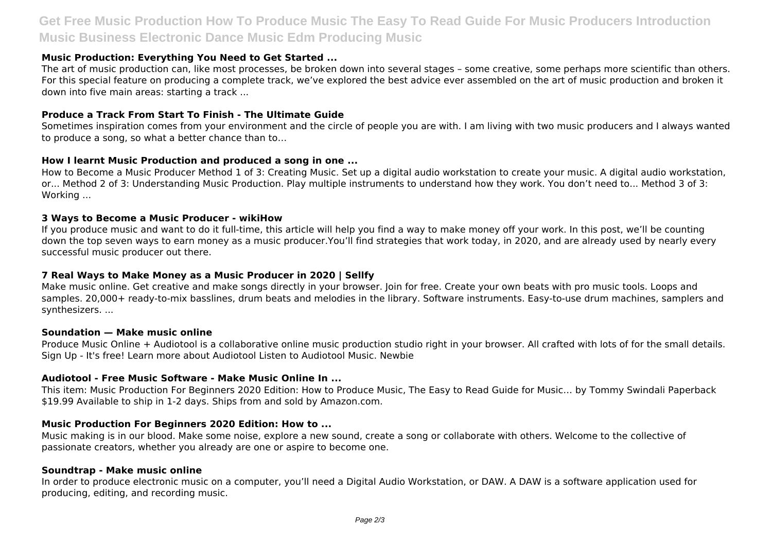# **Get Free Music Production How To Produce Music The Easy To Read Guide For Music Producers Introduction Music Business Electronic Dance Music Edm Producing Music**

#### **Music Production: Everything You Need to Get Started ...**

The art of music production can, like most processes, be broken down into several stages – some creative, some perhaps more scientific than others. For this special feature on producing a complete track, we've explored the best advice ever assembled on the art of music production and broken it down into five main areas: starting a track ...

#### **Produce a Track From Start To Finish - The Ultimate Guide**

Sometimes inspiration comes from your environment and the circle of people you are with. I am living with two music producers and I always wanted to produce a song, so what a better chance than to…

#### **How I learnt Music Production and produced a song in one ...**

How to Become a Music Producer Method 1 of 3: Creating Music. Set up a digital audio workstation to create your music. A digital audio workstation, or... Method 2 of 3: Understanding Music Production. Play multiple instruments to understand how they work. You don't need to... Method 3 of 3: Working ...

#### **3 Ways to Become a Music Producer - wikiHow**

If you produce music and want to do it full-time, this article will help you find a way to make money off your work. In this post, we'll be counting down the top seven ways to earn money as a music producer.You'll find strategies that work today, in 2020, and are already used by nearly every successful music producer out there.

#### **7 Real Ways to Make Money as a Music Producer in 2020 | Sellfy**

Make music online. Get creative and make songs directly in your browser. Join for free. Create your own beats with pro music tools. Loops and samples. 20,000+ ready-to-mix basslines, drum beats and melodies in the library. Software instruments. Easy-to-use drum machines, samplers and synthesizers. ...

#### **Soundation — Make music online**

Produce Music Online + Audiotool is a collaborative online music production studio right in your browser. All crafted with lots of for the small details. Sign Up - It's free! Learn more about Audiotool Listen to Audiotool Music. Newbie

#### **Audiotool - Free Music Software - Make Music Online In ...**

This item: Music Production For Beginners 2020 Edition: How to Produce Music, The Easy to Read Guide for Music… by Tommy Swindali Paperback \$19.99 Available to ship in 1-2 days. Ships from and sold by Amazon.com.

#### **Music Production For Beginners 2020 Edition: How to ...**

Music making is in our blood. Make some noise, explore a new sound, create a song or collaborate with others. Welcome to the collective of passionate creators, whether you already are one or aspire to become one.

#### **Soundtrap - Make music online**

In order to produce electronic music on a computer, you'll need a Digital Audio Workstation, or DAW. A DAW is a software application used for producing, editing, and recording music.